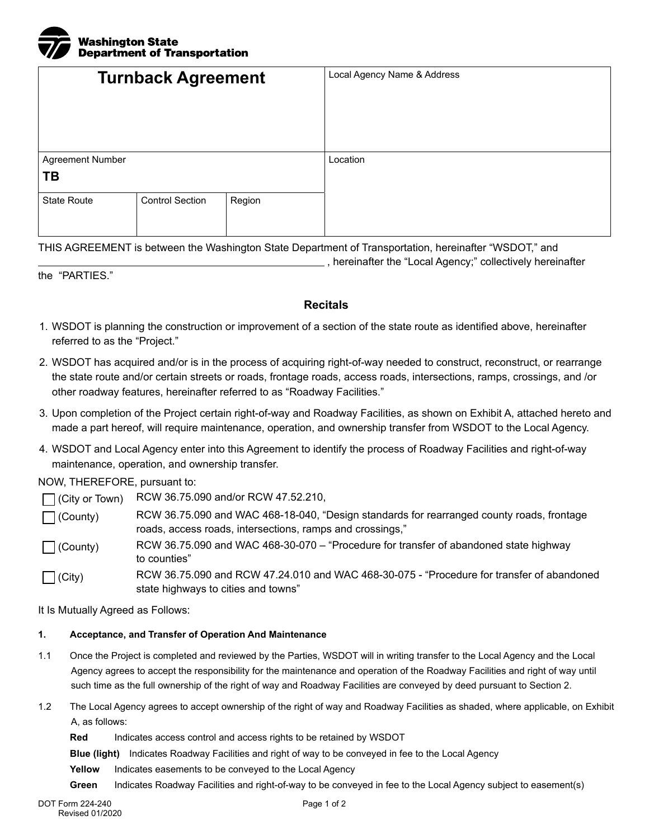

|                    | <b>Turnback Agreement</b> |        | Local Agency Name & Address |
|--------------------|---------------------------|--------|-----------------------------|
| Agreement Number   |                           |        | Location                    |
| ΤВ                 |                           |        |                             |
| <b>State Route</b> | <b>Control Section</b>    | Region |                             |
|                    |                           |        |                             |

THIS AGREEMENT is between the Washington State Department of Transportation, hereinafter "WSDOT," and

the "PARTIES."

## **Recitals**

, hereinafter the "Local Agency;" collectively hereinafter

- 1. WSDOT is planning the construction or improvement of a section of the state route as identified above, hereinafter referred to as the "Project."
- 2. WSDOT has acquired and/or is in the process of acquiring right-of-way needed to construct, reconstruct, or rearrange the state route and/or certain streets or roads, frontage roads, access roads, intersections, ramps, crossings, and /or other roadway features, hereinafter referred to as "Roadway Facilities."
- 3. Upon completion of the Project certain right-of-way and Roadway Facilities, as shown on Exhibit A, attached hereto and made a part hereof, will require maintenance, operation, and ownership transfer from WSDOT to the Local Agency.
- 4. WSDOT and Local Agency enter into this Agreement to identify the process of Roadway Facilities and right-of-way maintenance, operation, and ownership transfer.

## NOW, THEREFORE, pursuant to:

| $\Box$ (City or Town) | RCW 36.75.090 and/or RCW 47.52.210,                                                                                                                    |
|-----------------------|--------------------------------------------------------------------------------------------------------------------------------------------------------|
| $\Box$ (County)       | RCW 36.75.090 and WAC 468-18-040, "Design standards for rearranged county roads, frontage<br>roads, access roads, intersections, ramps and crossings," |
| $\Box$ (County)       | RCW 36.75.090 and WAC 468-30-070 – "Procedure for transfer of abandoned state highway<br>to counties"                                                  |
| $\bigcap$ (City)      | RCW 36.75.090 and RCW 47.24.010 and WAC 468-30-075 - "Procedure for transfer of abandoned<br>state highways to cities and towns"                       |

It Is Mutually Agreed as Follows:

## **1. Acceptance, and Transfer of Operation And Maintenance**

- 1.1 Once the Project is completed and reviewed by the Parties, WSDOT will in writing transfer to the Local Agency and the Local Agency agrees to accept the responsibility for the maintenance and operation of the Roadway Facilities and right of way until such time as the full ownership of the right of way and Roadway Facilities are conveyed by deed pursuant to Section 2.
- 1.2 The Local Agency agrees to accept ownership of the right of way and Roadway Facilities as shaded, where applicable, on Exhibit A, as follows:

**Red** Indicates access control and access rights to be retained by WSDOT

**Blue (light)** Indicates Roadway Facilities and right of way to be conveyed in fee to the Local Agency

- **Yellow** Indicates easements to be conveyed to the Local Agency
- **Green** Indicates Roadway Facilities and right-of-way to be conveyed in fee to the Local Agency subject to easement(s)